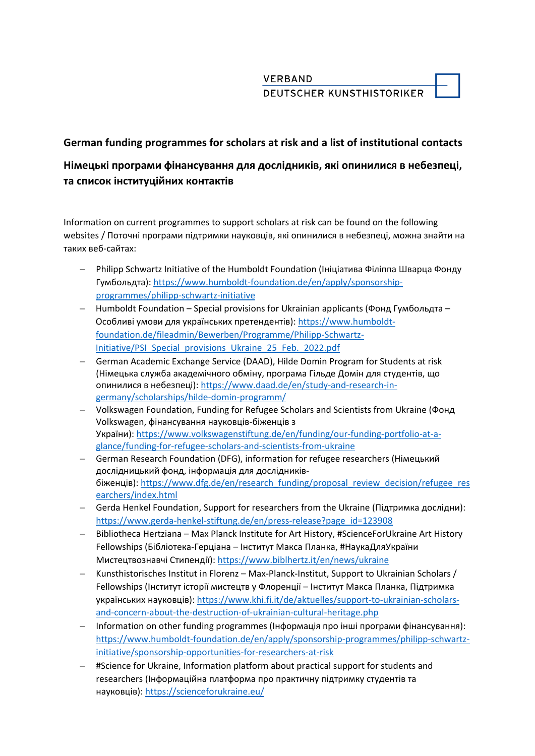# **VERBAND** DEUTSCHER KUNSTHISTORIKER

# **German funding programmes for scholars at risk and a list of institutional contacts**

# **Німецькі програми фінансування для дослідників, які опинилися в небезпеці, та список інституційних контактів**

Information on current programmes to support scholars at risk can be found on the following websites / Поточні програми підтримки науковців, які опинилися в небезпеці, можна знайти на таких веб-сайтах:

- − Philipp Schwartz Initiative of the Humboldt Foundation (Ініціатива Філіппа Шварца Фонду Гумбольдта): [https://www.humboldt-foundation.de/en/apply/sponsorship](https://www.humboldt-foundation.de/en/apply/sponsorship-programmes/philipp-schwartz-initiative)[programmes/philipp-schwartz-initiative](https://www.humboldt-foundation.de/en/apply/sponsorship-programmes/philipp-schwartz-initiative)
- − Humboldt Foundation Special provisions for Ukrainian applicants (Фонд Гумбольдта Особливі умови для українських претендентів): [https://www.humboldt](https://www.humboldt-foundation.de/fileadmin/Bewerben/Programme/Philipp-Schwartz-Initiative/PSI_Special_provisions_Ukraine_25_Feb._2022.pdf)[foundation.de/fileadmin/Bewerben/Programme/Philipp-Schwartz-](https://www.humboldt-foundation.de/fileadmin/Bewerben/Programme/Philipp-Schwartz-Initiative/PSI_Special_provisions_Ukraine_25_Feb._2022.pdf)[Initiative/PSI\\_Special\\_provisions\\_Ukraine\\_25\\_Feb.\\_2022.pdf](https://www.humboldt-foundation.de/fileadmin/Bewerben/Programme/Philipp-Schwartz-Initiative/PSI_Special_provisions_Ukraine_25_Feb._2022.pdf)
- − German Academic Exchange Service (DAAD), Hilde Domin Program for Students at risk (Німецька служба академічного обміну, програма Гільде Домін для студентів, що опинилися в небезпеці)[: https://www.daad.de/en/study-and-research-in](https://www.daad.de/en/study-and-research-in-germany/scholarships/hilde-domin-programm/)[germany/scholarships/hilde-domin-programm/](https://www.daad.de/en/study-and-research-in-germany/scholarships/hilde-domin-programm/)
- − Volkswagen Foundation, Funding for Refugee Scholars and Scientists from Ukraine (Фонд Volkswagen, фінансування науковців-біженців з України): [https://www.volkswagenstiftung.de/en/funding/our-funding-portfolio-at-a](https://www.volkswagenstiftung.de/en/funding/our-funding-portfolio-at-a-glance/funding-for-refugee-scholars-and-scientists-from-ukraine)[glance/funding-for-refugee-scholars-and-scientists-from-ukraine](https://www.volkswagenstiftung.de/en/funding/our-funding-portfolio-at-a-glance/funding-for-refugee-scholars-and-scientists-from-ukraine)
- − German Research Foundation (DFG), information for refugee researchers (Німецький дослідницький фонд, інформація для дослідниківбіженців)[: https://www.dfg.de/en/research\\_funding/proposal\\_review\\_decision/refugee\\_res](https://www.dfg.de/en/research_funding/proposal_review_decision/refugee_researchers/index.html) [earchers/index.html](https://www.dfg.de/en/research_funding/proposal_review_decision/refugee_researchers/index.html)
- − Gerda Henkel Foundation, Support for researchers from the Ukraine (Підтримка дослідни): [https://www.gerda-henkel-stiftung.de/en/press-release?page\\_id=123908](https://www.gerda-henkel-stiftung.de/en/press-release?page_id=123908)
- − Bibliotheca Hertziana Max Planck Institute for Art History, #ScienceForUkraine Art History Fellowships (Бібліотека-Герціана – Інститут Макса Планка, #НаукаДляУкраїни Мистецтвознавчі Стипендії):<https://www.biblhertz.it/en/news/ukraine>
- − Kunsthistorisches Institut in Florenz Max-Planck-Institut, Support to Ukrainian Scholars / Fellowships (Інститут історії мистецтв у Флоренції – Інститут Макса Планка, Підтримка українських науковців): [https://www.khi.fi.it/de/aktuelles/support-to-ukrainian-scholars](https://www.khi.fi.it/de/aktuelles/support-to-ukrainian-scholars-and-concern-about-the-destruction-of-ukrainian-cultural-heritage.php)[and-concern-about-the-destruction-of-ukrainian-cultural-heritage.php](https://www.khi.fi.it/de/aktuelles/support-to-ukrainian-scholars-and-concern-about-the-destruction-of-ukrainian-cultural-heritage.php)
- − Information on other funding programmes (Інформація про інші програми фінансування): [https://www.humboldt-foundation.de/en/apply/sponsorship-programmes/philipp-schwartz](https://www.humboldt-foundation.de/en/apply/sponsorship-programmes/philipp-schwartz-initiative/sponsorship-opportunities-for-researchers-at-risk)[initiative/sponsorship-opportunities-for-researchers-at-risk](https://www.humboldt-foundation.de/en/apply/sponsorship-programmes/philipp-schwartz-initiative/sponsorship-opportunities-for-researchers-at-risk)
- − #Science for Ukraine, Information platform about practical support for students and researchers (Інформаційна платформа про практичну підтримку студентів та науковців): <https://scienceforukraine.eu/>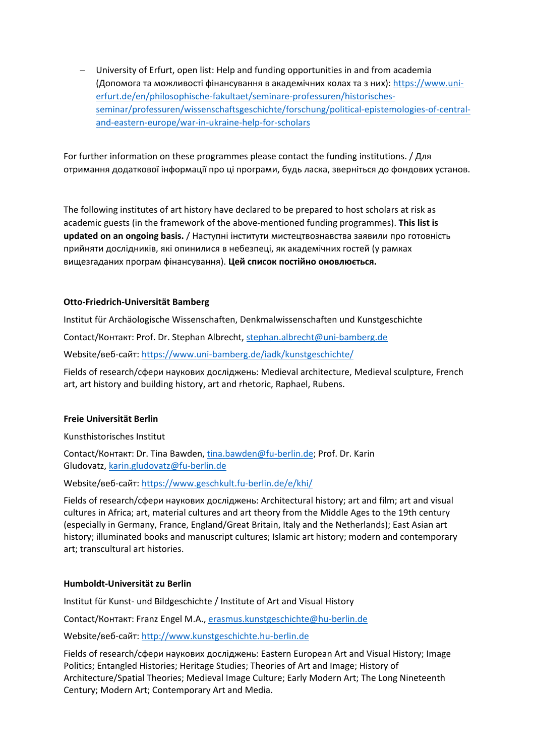− University of Erfurt, open list: Help and funding opportunities in and from academia (Допомога та можливості фінансування в академічних колах та з них): [https://www.uni](https://www.uni-erfurt.de/en/philosophische-fakultaet/seminare-professuren/historisches-seminar/professuren/wissenschaftsgeschichte/forschung/political-epistemologies-of-central-and-eastern-europe/war-in-ukraine-help-for-scholars)[erfurt.de/en/philosophische-fakultaet/seminare-professuren/historisches](https://www.uni-erfurt.de/en/philosophische-fakultaet/seminare-professuren/historisches-seminar/professuren/wissenschaftsgeschichte/forschung/political-epistemologies-of-central-and-eastern-europe/war-in-ukraine-help-for-scholars)[seminar/professuren/wissenschaftsgeschichte/forschung/political-epistemologies-of-central](https://www.uni-erfurt.de/en/philosophische-fakultaet/seminare-professuren/historisches-seminar/professuren/wissenschaftsgeschichte/forschung/political-epistemologies-of-central-and-eastern-europe/war-in-ukraine-help-for-scholars)[and-eastern-europe/war-in-ukraine-help-for-scholars](https://www.uni-erfurt.de/en/philosophische-fakultaet/seminare-professuren/historisches-seminar/professuren/wissenschaftsgeschichte/forschung/political-epistemologies-of-central-and-eastern-europe/war-in-ukraine-help-for-scholars)

For further information on these programmes please contact the funding institutions. / Для отримання додаткової інформації про ці програми, будь ласка, зверніться до фондових установ.

The following institutes of art history have declared to be prepared to host scholars at risk as academic guests (in the framework of the above-mentioned funding programmes). **This list is updated on an ongoing basis.** / Наступні інститути мистецтвознавства заявили про готовність прийняти дослідників, які опинилися в небезпеці, як академічних гостей (у рамках вищезгаданих програм фінансування). **Цей список постійно оновлюється.**

# **Otto-Friedrich-Universität Bamberg**

Institut für Archäologische Wissenschaften, Denkmalwissenschaften und Kunstgeschichte

Contact/Контакт: Prof. Dr. Stephan Albrecht, [stephan.albrecht@uni-bamberg.de](mailto:stephan.albrecht@uni-bamberg.de)

Website/веб-сайт[: https://www.uni-bamberg.de/iadk/kunstgeschichte/](https://www.uni-bamberg.de/iadk/kunstgeschichte/)

Fields of research/сфери наукових досліджень: Medieval architecture, Medieval sculpture, French art, art history and building history, art and rhetoric, Raphael, Rubens.

## **Freie Universität Berlin**

Kunsthistorisches Institut

Contact/Контакт: Dr. Tina Bawden, [tina.bawden@fu-berlin.de;](mailto:tina.bawden@fu-berlin.de) Prof. Dr. Karin Gludovatz, [karin.gludovatz@fu-berlin.de](mailto:karin.gludovatz@fu-berlin.de)

Website/веб-сайт[: https://www.geschkult.fu-berlin.de/e/khi/](https://www.geschkult.fu-berlin.de/e/khi/)

Fields of research/сфери наукових досліджень: Architectural history; art and film; art and visual cultures in Africa; art, material cultures and art theory from the Middle Ages to the 19th century (especially in Germany, France, England/Great Britain, Italy and the Netherlands); East Asian art history; illuminated books and manuscript cultures; Islamic art history; modern and contemporary art; transcultural art histories.

## **Humboldt-Universität zu Berlin**

Institut für Kunst- und Bildgeschichte / Institute of Art and Visual History

Contact/Контакт: Franz Engel M.A., [erasmus.kunstgeschichte@hu-berlin.de](mailto:erasmus.kunstgeschichte@hu-berlin.de)

Website/веб-сайт[: http://www.kunstgeschichte.hu-berlin.de](http://www.kunstgeschichte.hu-berlin.de/)

Fields of research/сфери наукових досліджень: Eastern European Art and Visual History; Image Politics; Entangled Histories; Heritage Studies; Theories of Art and Image; History of Architecture/Spatial Theories; Medieval Image Culture; Early Modern Art; The Long Nineteenth Century; Modern Art; Contemporary Art and Media.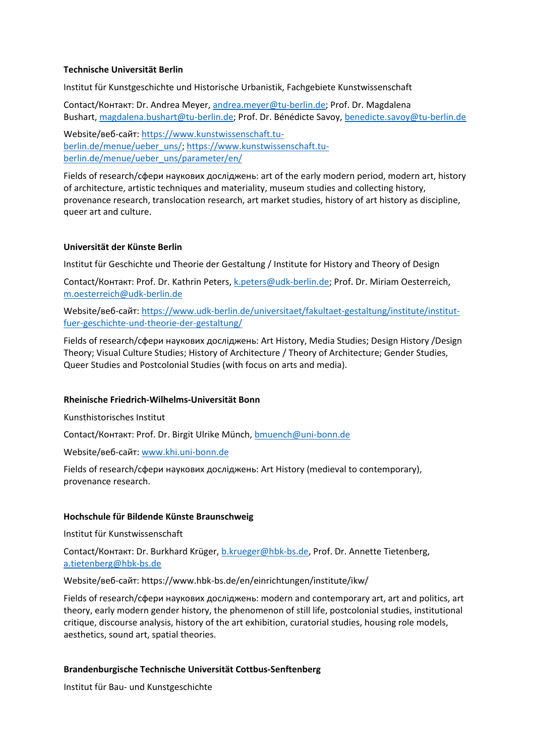## **Technische Universität Berlin**

Institut für Kunstgeschichte und Historische Urbanistik, Fachgebiete Kunstwissenschaft

Contact/Контакт: Dr. Andrea Meyer, [andrea.meyer@tu-berlin.de;](mailto:andrea.meyer@tu-berlin.de) Prof. Dr. Magdalena Bushart, [magdalena.bushart@tu-berlin.de;](mailto:magdalena.bushart@tu-berlin.de) Prof. Dr. Bénédicte Savoy, [benedicte.savoy@tu-berlin.de](mailto:benedicte.savoy@tu-berlin.de)

Website/веб-сайт[: https://www.kunstwissenschaft.tu](https://www.kunstwissenschaft.tu-berlin.de/menue/ueber_uns/)[berlin.de/menue/ueber\\_uns/;](https://www.kunstwissenschaft.tu-berlin.de/menue/ueber_uns/) [https://www.kunstwissenschaft.tu](https://www.kunstwissenschaft.tu-berlin.de/menue/ueber_uns/parameter/en/)[berlin.de/menue/ueber\\_uns/parameter/en/](https://www.kunstwissenschaft.tu-berlin.de/menue/ueber_uns/parameter/en/)

Fields of research/сфери наукових досліджень: art of the early modern period, modern art, history of architecture, artistic techniques and materiality, museum studies and collecting history, provenance research, translocation research, art market studies, history of art history as discipline, queer art and culture.

### **Universität der Künste Berlin**

Institut für Geschichte und Theorie der Gestaltung / Institute for History and Theory of Design

Contact/Контакт: Prof. Dr. Kathrin Peters, [k.peters@udk-berlin.de;](mailto:k.peters@udk-berlin.de) Prof. Dr. Miriam Oesterreich, [m.oesterreich@udk-berlin.de](mailto:m.oesterreich@udk-berlin.de)

Website/веб-сайт[: https://www.udk-berlin.de/universitaet/fakultaet-gestaltung/institute/institut](https://www.udk-berlin.de/universitaet/fakultaet-gestaltung/institute/institut-fuer-geschichte-und-theorie-der-gestaltung/)[fuer-geschichte-und-theorie-der-gestaltung/](https://www.udk-berlin.de/universitaet/fakultaet-gestaltung/institute/institut-fuer-geschichte-und-theorie-der-gestaltung/)

Fields of research/сфери наукових досліджень: Art History, Media Studies; Design History /Design Theory; Visual Culture Studies; History of Architecture / Theory of Architecture; Gender Studies, Queer Studies and Postcolonial Studies (with focus on arts and media).

#### **Rheinische Friedrich-Wilhelms-Universität Bonn**

Kunsthistorisches Institut

Contact/Контакт: Prof. Dr. Birgit Ulrike Münch, [bmuench@uni-bonn.de](mailto:bmuench@uni-bonn.de)

Website/веб-сайт[: www.khi.uni-bonn.de](http://www.khi.uni-bonn.de/)

Fields of research/сфери наукових досліджень: Art History (medieval to contemporary), provenance research.

### **Hochschule für Bildende Künste Braunschweig**

Institut für Kunstwissenschaft

Contact/Контакт: Dr. Burkhard Krüger, [b.krueger@hbk-bs.de,](mailto:b.krueger@hbk-bs.de) Prof. Dr. Annette Tietenberg, [a.tietenberg@hbk-bs.de](mailto:a.tietenberg@hbk-bs.de)

Website/веб-сайт: https://www.hbk-bs.de/en/einrichtungen/institute/ikw/

Fields of research/сфери наукових досліджень: modern and contemporary art, art and politics, art theory, early modern gender history, the phenomenon of still life, postcolonial studies, institutional critique, discourse analysis, history of the art exhibition, curatorial studies, housing role models, aesthetics, sound art, spatial theories.

## **Brandenburgische Technische Universität Cottbus-Senftenberg**

Institut für Bau- und Kunstgeschichte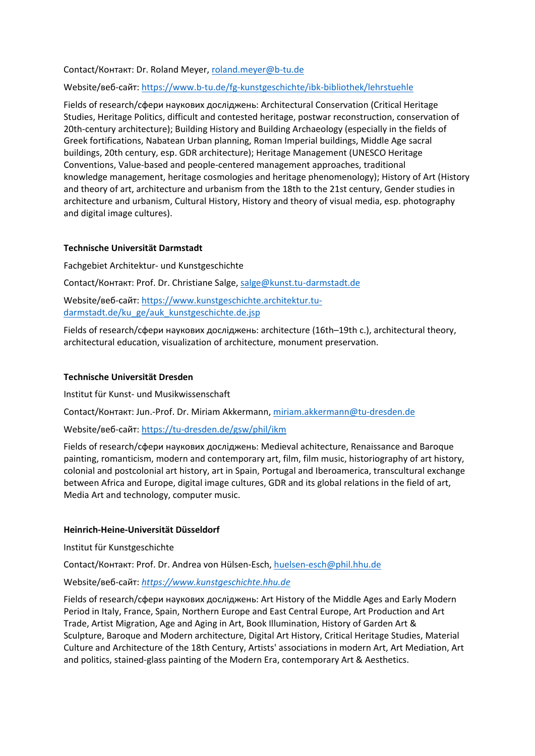## Contact/Контакт: Dr. Roland Meyer, [roland.meyer@b-tu.de](mailto:roland.meyer@b-tu.de)

## Website/веб-сайт[: https://www.b-tu.de/fg-kunstgeschichte/ibk-bibliothek/lehrstuehle](https://www.b-tu.de/fg-kunstgeschichte/ibk-bibliothek/lehrstuehle)

Fields of research/сфери наукових досліджень: Architectural Conservation (Critical Heritage Studies, Heritage Politics, difficult and contested heritage, postwar reconstruction, conservation of 20th-century architecture); Building History and Building Archaeology (especially in the fields of Greek fortifications, Nabatean Urban planning, Roman Imperial buildings, Middle Age sacral buildings, 20th century, esp. GDR architecture); Heritage Management (UNESCO Heritage Conventions, Value-based and people-centered management approaches, traditional knowledge management, heritage cosmologies and heritage phenomenology); History of Art (History and theory of art, architecture and urbanism from the 18th to the 21st century, Gender studies in architecture and urbanism, Cultural History, History and theory of visual media, esp. photography and digital image cultures).

## **Technische Universität Darmstadt**

Fachgebiet Architektur- und Kunstgeschichte

Contact/Контакт: Prof. Dr. Christiane Salge, [salge@kunst.tu-darmstadt.de](mailto:salge@kunst.tu-darmstadt.de)

Website/веб-сайт[: https://www.kunstgeschichte.architektur.tu](https://www.kunstgeschichte.architektur.tu-darmstadt.de/ku_ge/auk_kunstgeschichte.de.jsp)[darmstadt.de/ku\\_ge/auk\\_kunstgeschichte.de.jsp](https://www.kunstgeschichte.architektur.tu-darmstadt.de/ku_ge/auk_kunstgeschichte.de.jsp)

Fields of research/сфери наукових досліджень: architecture (16th–19th c.), architectural theory, architectural education, visualization of architecture, monument preservation.

### **Technische Universität Dresden**

Institut für Kunst- und Musikwissenschaft

Contact/Контакт: Jun.-Prof. Dr. Miriam Akkermann, [miriam.akkermann@tu-dresden.de](mailto:miriam.akkermann@tu-dresden.de) 

Website/веб-сайт[: https://tu-dresden.de/gsw/phil/ikm](https://tu-dresden.de/gsw/phil/ikm) 

Fields of research/сфери наукових досліджень: Medieval achitecture, Renaissance and Baroque painting, romanticism, modern and contemporary art, film, film music, historiography of art history, colonial and postcolonial art history, art in Spain, Portugal and Iberoamerica, transcultural exchange between Africa and Europe, digital image cultures, GDR and its global relations in the field of art, Media Art and technology, computer music.

## **Heinrich-Heine-Universität Düsseldorf**

Institut für Kunstgeschichte

Contact/Контакт: Prof. Dr. Andrea von Hülsen-Esch, [huelsen-esch@phil.hhu.de](mailto:huelsen-esch@phil.hhu.de)

Website/веб-сайт: *[https://www.kunstgeschichte.hhu.de](https://www.kunstgeschichte.hhu.de/)*

Fields of research/сфери наукових досліджень: Art History of the Middle Ages and Early Modern Period in Italy, France, Spain, Northern Europe and East Central Europe, Art Production and Art Trade, Artist Migration, Age and Aging in Art, Book Illumination, History of Garden Art & Sculpture, Baroque and Modern architecture, Digital Art History, Critical Heritage Studies, Material Culture and Architecture of the 18th Century, Artists' associations in modern Art, Art Mediation, Art and politics, stained-glass painting of the Modern Era, contemporary Art & Aesthetics.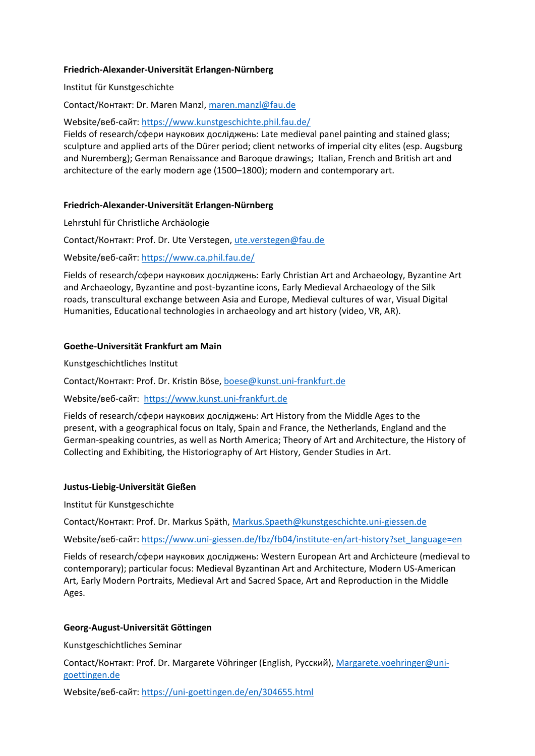## **Friedrich-Alexander-Universität Erlangen-Nürnberg**

Institut für Kunstgeschichte

Contact/Контакт: Dr. Maren Manzl, [maren.manzl@fau.de](mailto:maren.manzl@fau.de)

Website/веб-сайт: <https://www.kunstgeschichte.phil.fau.de/>

Fields of research/сфери наукових досліджень: Late medieval panel painting and stained glass; sculpture and applied arts of the Dürer period; client networks of imperial city elites (esp. Augsburg and Nuremberg); German Renaissance and Baroque drawings; Italian, French and British art and architecture of the early modern age (1500–1800); modern and contemporary art.

## **Friedrich-Alexander-Universität Erlangen-Nürnberg**

Lehrstuhl für Christliche Archäologie

Contact/Контакт: Prof. Dr. Ute Verstegen, [ute.verstegen@fau.de](mailto:ute.verstegen@fau.de)

Website/веб-сайт: <https://www.ca.phil.fau.de/>

Fields of research/сфери наукових досліджень: Early Christian Art and Archaeology, Byzantine Art and Archaeology, Byzantine and post-byzantine icons, Early Medieval Archaeology of the Silk roads, transcultural exchange between Asia and Europe, Medieval cultures of war, Visual Digital Humanities, Educational technologies in archaeology and art history (video, VR, AR).

# **Goethe-Universität Frankfurt am Main**

Kunstgeschichtliches Institut

Contact/Контакт: Prof. Dr. Kristin Böse, [boese@kunst.uni-frankfurt.de](mailto:boese@kunst.uni-frankfurt.de)

Website/веб-сайт: [https://www.kunst.uni-frankfurt.de](https://www.kunst.uni-frankfurt.de/)

Fields of research/сфери наукових досліджень: Art History from the Middle Ages to the present, with a geographical focus on Italy, Spain and France, the Netherlands, England and the German-speaking countries, as well as North America; Theory of Art and Architecture, the History of Collecting and Exhibiting, the Historiography of Art History, Gender Studies in Art.

## **Justus-Liebig-Universität Gießen**

Institut für Kunstgeschichte

Contact/Контакт: Prof. Dr. Markus Späth[, Markus.Spaeth@kunstgeschichte.uni-giessen.de](mailto:Markus.Spaeth@kunstgeschichte.uni-giessen.de)

Website/веб-сайт: [https://www.uni-giessen.de/fbz/fb04/institute-en/art-history?set\\_language=en](https://www.uni-giessen.de/fbz/fb04/institute-en/art-history?set_language=en)

Fields of research/сфери наукових досліджень: Western European Art and Archicteure (medieval to contemporary); particular focus: Medieval Byzantinan Art and Architecture, Modern US-American Art, Early Modern Portraits, Medieval Art and Sacred Space, Art and Reproduction in the Middle Ages.

## **Georg-August-Universität Göttingen**

Kunstgeschichtliches Seminar

Contact/Контакт: Prof. Dr. Margarete Vöhringer (English, Русский), [Margarete.voehringer@uni](mailto:Margarete.voehringer@uni-goettingen.de)[goettingen.de](mailto:Margarete.voehringer@uni-goettingen.de)

Website/веб-сайт[: https://uni-goettingen.de/en/304655.html](https://www.kuk.uni-jena.de/seminar-fuer-kunstgeschichte-und-filmwissenschaft)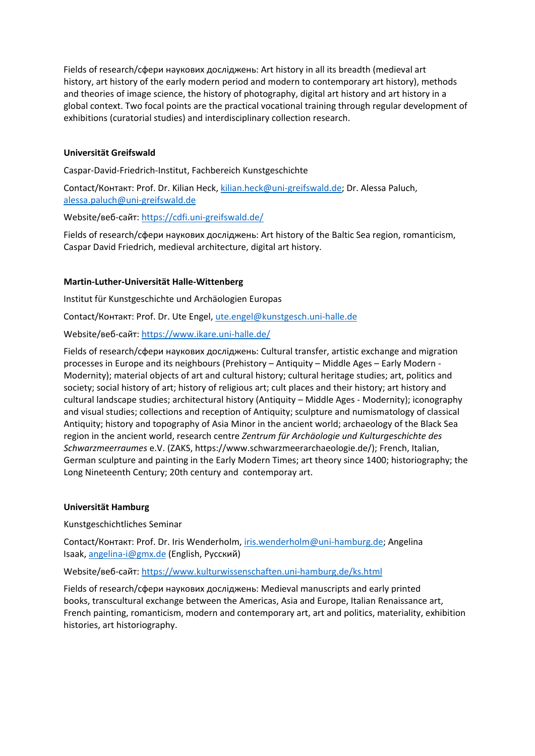Fields of research/сфери наукових досліджень: Art history in all its breadth (medieval art history, art history of the early modern period and modern to contemporary art history), methods and theories of image science, the history of photography, digital art history and art history in a global context. Two focal points are the practical vocational training through regular development of exhibitions (curatorial studies) and interdisciplinary collection research.

# **Universität Greifswald**

Caspar-David-Friedrich-Institut, Fachbereich Kunstgeschichte

Contact/Контакт: Prof. Dr. Kilian Heck[, kilian.heck@uni-greifswald.de;](mailto:kilian.heck@uni-greifswald.de) Dr. Alessa Paluch, [alessa.paluch@uni-greifswald.de](mailto:alessa.paluch@uni-greifswald.de)

Website/веб-сайт[: https://cdfi.uni-greifswald.de/](https://cdfi.uni-greifswald.de/)

Fields of research/сфери наукових досліджень: Art history of the Baltic Sea region, romanticism, Caspar David Friedrich, medieval architecture, digital art history.

# **Martin-Luther-Universität Halle-Wittenberg**

Institut für Kunstgeschichte und Archäologien Europas

Contact/Контакт: Prof. Dr. Ute Engel, [ute.engel@kunstgesch.uni-halle.de](mailto:ute.engel@kunstgesch.uni-halle.de)

Website/веб-сайт[: https://www.ikare.uni-halle.de/](https://www.ikare.uni-halle.de/)

Fields of research/сфери наукових досліджень: Cultural transfer, artistic exchange and migration processes in Europe and its neighbours (Prehistory – Antiquity – Middle Ages – Early Modern - Modernity); material objects of art and cultural history; cultural heritage studies; art, politics and society; social history of art; history of religious art; cult places and their history; art history and cultural landscape studies; architectural history (Antiquity – Middle Ages - Modernity); iconography and visual studies; collections and reception of Antiquity; sculpture and numismatology of classical Antiquity; history and topography of Asia Minor in the ancient world; archaeology of the Black Sea region in the ancient world, research centre *Zentrum für Archäologie und Kulturgeschichte des Schwarzmeerraumes* e.V. (ZAKS, https://www.schwarzmeerarchaeologie.de/); French, Italian, German sculpture and painting in the Early Modern Times; art theory since 1400; historiography; the Long Nineteenth Century; 20th century and contemporay art.

## **Universität Hamburg**

Kunstgeschichtliches Seminar

Contact/Контакт: Prof. Dr. Iris Wenderholm, [iris.wenderholm@uni-hamburg.de;](mailto:iris.wenderholm@uni-hamburg.de) Angelina Isaak[, angelina-i@gmx.de](mailto:angelina-i@gmx.de) (English, Русский)

Website/веб-сайт[: https://www.kulturwissenschaften.uni-hamburg.de/ks.html](https://www.kulturwissenschaften.uni-hamburg.de/ks.html)

Fields of research/сфери наукових досліджень: Medieval manuscripts and early printed books, transcultural exchange between the Americas, Asia and Europe, Italian Renaissance art, French painting, romanticism, modern and contemporary art, art and politics, materiality, exhibition histories, art historiography.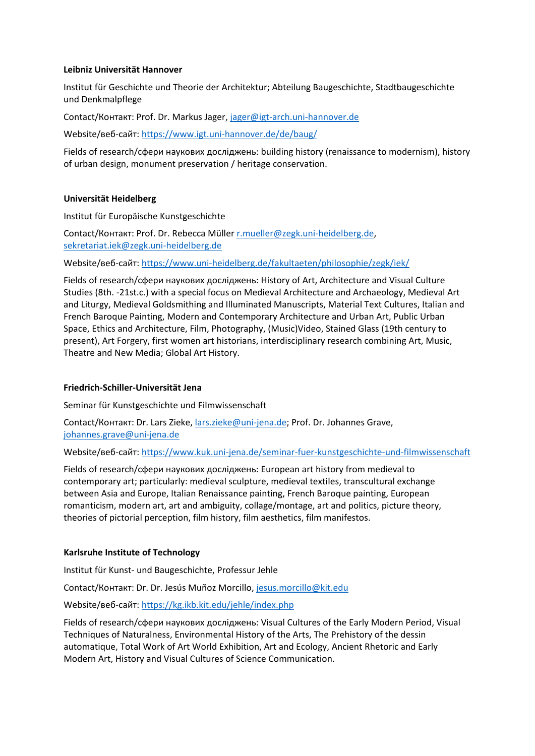## **Leibniz Universität Hannover**

Institut für Geschichte und Theorie der Architektur; Abteilung Baugeschichte, Stadtbaugeschichte und Denkmalpflege

Contact/Контакт: Prof. Dr. Markus Jager, [jager@igt-arch.uni-hannover.de](mailto:jager@igt-arch.uni-hannover.de)

Website/веб-сайт[: https://www.igt.uni-hannover.de/de/baug/](https://www.igt.uni-hannover.de/de/baug/)

Fields of research/сфери наукових досліджень: building history (renaissance to modernism), history of urban design, monument preservation / heritage conservation.

# **Universität Heidelberg**

Institut für Europäische Kunstgeschichte

Contact/Контакт: Prof. Dr. Rebecca Müller [r.mueller@zegk.uni-heidelberg.de,](mailto:r.mueller@zegk.uni-heidelberg.de) [sekretariat.iek@zegk.uni-heidelberg.de](mailto:sekretariat.iek@zegk.uni-heidelberg.de)

Website/веб-сайт[: https://www.uni-heidelberg.de/fakultaeten/philosophie/zegk/iek/](https://www.uni-heidelberg.de/fakultaeten/philosophie/zegk/iek/)

Fields of research/сфери наукових досліджень: History of Art, Architecture and Visual Culture Studies (8th. -21st.c.) with a special focus on Medieval Architecture and Archaeology, Medieval Art and Liturgy, Medieval Goldsmithing and Illuminated Manuscripts, Material Text Cultures, Italian and French Baroque Painting, Modern and Contemporary Architecture and Urban Art, Public Urban Space, Ethics and Architecture, Film, Photography, (Music)Video, Stained Glass (19th century to present), Art Forgery, first women art historians, interdisciplinary research combining Art, Music, Theatre and New Media; Global Art History.

## **Friedrich-Schiller-Universität Jena**

Seminar für Kunstgeschichte und Filmwissenschaft

Contact/Контакт: Dr. Lars Zieke, [lars.zieke@uni-jena.de;](mailto:lars.zieke@uni-jena.de) Prof. Dr. Johannes Grave, [johannes.grave@uni-jena.de](mailto:johannes.grave@uni-jena.de)

Website/веб-сайт[: https://www.kuk.uni-jena.de/seminar-fuer-kunstgeschichte-und-filmwissenschaft](https://www.kuk.uni-jena.de/seminar-fuer-kunstgeschichte-und-filmwissenschaft)

Fields of research/сфери наукових досліджень: European art history from medieval to contemporary art; particularly: medieval sculpture, medieval textiles, transcultural exchange between Asia and Europe, Italian Renaissance painting, French Baroque painting, European romanticism, modern art, art and ambiguity, collage/montage, art and politics, picture theory, theories of pictorial perception, film history, film aesthetics, film manifestos.

# **Karlsruhe Institute of Technology**

Institut für Kunst- und Baugeschichte, Professur Jehle

Contact/Контакт: Dr. Dr. Jesús Muñoz Morcillo, [jesus.morcillo@kit.edu](mailto:jesus.morcillo@kit.edu)

Website/веб-сайт[: https://kg.ikb.kit.edu/jehle/index.php](https://kg.ikb.kit.edu/jehle/index.php)

Fields of research/сфери наукових досліджень: Visual Cultures of the Early Modern Period, Visual Techniques of Naturalness, Environmental History of the Arts, The Prehistory of the dessin automatique, Total Work of Art World Exhibition, Art and Ecology, Ancient Rhetoric and Early Modern Art, History and Visual Cultures of Science Communication.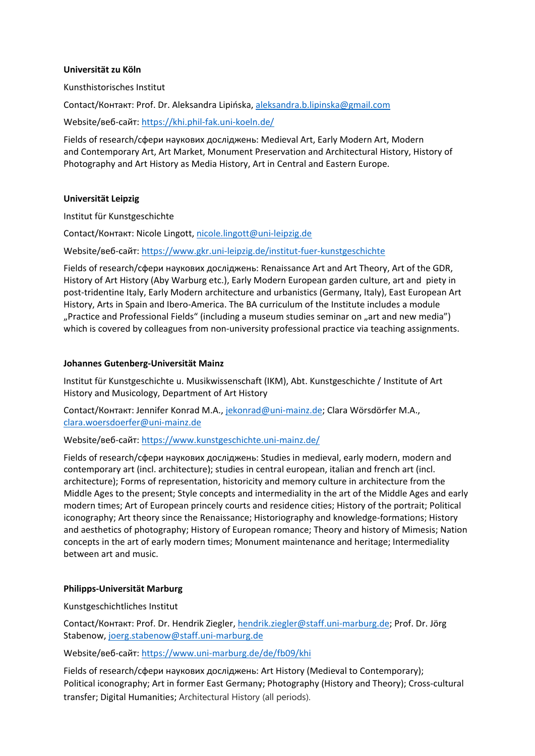## **Universität zu Köln**

Kunsthistorisches Institut

Contact/Контакт: Prof. Dr. Aleksandra Lipińska, [aleksandra.b.lipinska@gmail.com](mailto:aleksandra.b.lipinska@gmail.com)

Website/веб-сайт[: https://khi.phil-fak.uni-koeln.de/](https://khi.phil-fak.uni-koeln.de/)

Fields of research/сфери наукових досліджень: Medieval Art, Early Modern Art, Modern and Contemporary Art, Art Market, Monument Preservation and Architectural History, History of Photography and Art History as Media History, Art in Central and Eastern Europe.

### **Universität Leipzig**

Institut für Kunstgeschichte

Contact/Контакт: Nicole Lingott, [nicole.lingott@uni-leipzig.de](mailto:nicole.lingott@uni-leipzig.de)

Website/веб-сайт[: https://www.gkr.uni-leipzig.de/institut-fuer-kunstgeschichte](https://www.gkr.uni-leipzig.de/institut-fuer-kunstgeschichte)

Fields of research/сфери наукових досліджень: Renaissance Art and Art Theory, Art of the GDR, History of Art History (Aby Warburg etc.), Early Modern European garden culture, art and piety in post-tridentine Italy, Early Modern architecture and urbanistics (Germany, Italy), East European Art History, Arts in Spain and Ibero-America. The BA curriculum of the Institute includes a module ", Practice and Professional Fields" (including a museum studies seminar on "art and new media") which is covered by colleagues from non-university professional practice via teaching assignments.

## **Johannes Gutenberg-Universität Mainz**

Institut für Kunstgeschichte u. Musikwissenschaft (IKM), Abt. Kunstgeschichte / Institute of Art History and Musicology, Department of Art History

Contact/Контакт: Jennifer Konrad M.A., [jekonrad@uni-mainz.de;](mailto:jekonrad@uni-mainz.de) Clara Wörsdörfer M.A., [clara.woersdoerfer@uni-mainz.de](mailto:clara.woersdoerfer@uni-mainz.de)

Website/веб-сайт[: https://www.kunstgeschichte.uni-mainz.de/](https://www.kunstgeschichte.uni-mainz.de/)

Fields of research/сфери наукових досліджень: Studies in medieval, early modern, modern and contemporary art (incl. architecture); studies in central european, italian and french art (incl. architecture); Forms of representation, historicity and memory culture in architecture from the Middle Ages to the present; Style concepts and intermediality in the art of the Middle Ages and early modern times; Art of European princely courts and residence cities; History of the portrait; Political iconography; Art theory since the Renaissance; Historiography and knowledge-formations; History and aesthetics of photography; History of European romance; Theory and history of Mimesis; Nation concepts in the art of early modern times; Monument maintenance and heritage; Intermediality between art and music.

## **Philipps-Universität Marburg**

Kunstgeschichtliches Institut

Contact/Контакт: Prof. Dr. Hendrik Ziegler[, hendrik.ziegler@staff.uni-marburg.de;](mailto:hendrik.ziegler@staff.uni-marburg.de) Prof. Dr. Jörg Stabenow, [joerg.stabenow@staff.uni-marburg.de](mailto:joerg.stabenow@staff.uni-marburg.de)

## Website/веб-сайт[: https://www.uni-marburg.de/de/fb09/khi](https://www.uni-marburg.de/de/fb09/khi)

Fields of research/сфери наукових досліджень: Art History (Medieval to Contemporary); Political iconography; Art in former East Germany; Photography (History and Theory); Cross-cultural transfer; Digital Humanities; Architectural History (all periods).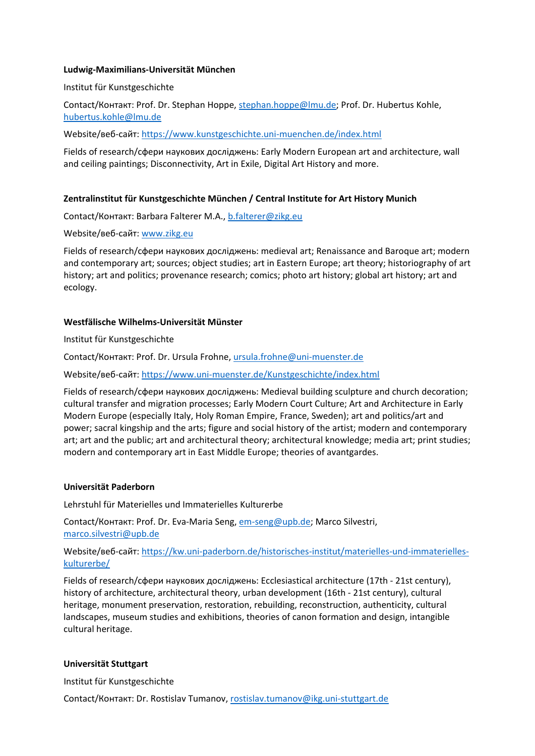## **Ludwig-Maximilians-Universität München**

Institut für Kunstgeschichte

Contact/Контакт: Prof. Dr. Stephan Hoppe, [stephan.hoppe@lmu.de;](mailto:stephan.hoppe@lmu.de) Prof. Dr. Hubertus Kohle, [hubertus.kohle@lmu.de](mailto:hubertus.kohle@lmu.de)

Website/веб-сайт[: https://www.kunstgeschichte.uni-muenchen.de/index.html](https://www.kunstgeschichte.uni-muenchen.de/index.html)

Fields of research/сфери наукових досліджень: Early Modern European art and architecture, wall and ceiling paintings; Disconnectivity, Art in Exile, Digital Art History and more.

### **Zentralinstitut für Kunstgeschichte München / Central Institute for Art History Munich**

Contact/Контакт: Barbara Falterer M.A.[, b.falterer@zikg.eu](mailto:b.falterer@zikg.eu)

Website/веб-сайт[: www.zikg.eu](http://www.zikg.eu/)

Fields of research/сфери наукових досліджень: medieval art; Renaissance and Baroque art; modern and contemporary art; sources; object studies; art in Eastern Europe; art theory; historiography of art history; art and politics; provenance research; comics; photo art history; global art history; art and ecology.

### **Westfälische Wilhelms-Universität Münster**

Institut für Kunstgeschichte

Contact/Контакт: Prof. Dr. Ursula Frohne, [ursula.frohne@uni-muenster.de](mailto:ursula.frohne@uni-muenster.de)

Website/веб-сайт[: https://www.uni-muenster.de/Kunstgeschichte/index.html](https://www.uni-muenster.de/Kunstgeschichte/index.html) 

Fields of research/сфери наукових досліджень: Medieval building sculpture and church decoration; cultural transfer and migration processes; Early Modern Court Culture; Art and Architecture in Early Modern Europe (especially Italy, Holy Roman Empire, France, Sweden); art and politics/art and power; sacral kingship and the arts; figure and social history of the artist; modern and contemporary art; art and the public; art and architectural theory; architectural knowledge; media art; print studies; modern and contemporary art in East Middle Europe; theories of avantgardes.

#### **Universität Paderborn**

Lehrstuhl für Materielles und Immaterielles Kulturerbe

Contact/Контакт: Prof. Dr. Eva-Maria Seng, [em-seng@upb.de;](mailto:em-seng@upb.de) Marco Silvestri, [marco.silvestri@upb.de](mailto:marco.silvestri@upb.de)

Website/веб-сайт[: https://kw.uni-paderborn.de/historisches-institut/materielles-und-immaterielles](https://kw.uni-paderborn.de/historisches-institut/materielles-und-immaterielles-kulturerbe/)[kulturerbe/](https://kw.uni-paderborn.de/historisches-institut/materielles-und-immaterielles-kulturerbe/)

Fields of research/сфери наукових досліджень: Ecclesiastical architecture (17th - 21st century), history of architecture, architectural theory, urban development (16th - 21st century), cultural heritage, monument preservation, restoration, rebuilding, reconstruction, authenticity, cultural landscapes, museum studies and exhibitions, theories of canon formation and design, intangible cultural heritage.

## **Universität Stuttgart**

Institut für Kunstgeschichte

Contact/Контакт: Dr. Rostislav Tumanov, [rostislav.tumanov@ikg.uni-stuttgart.de](mailto:rostislav.tumanov@ikg.uni-stuttgart.de)